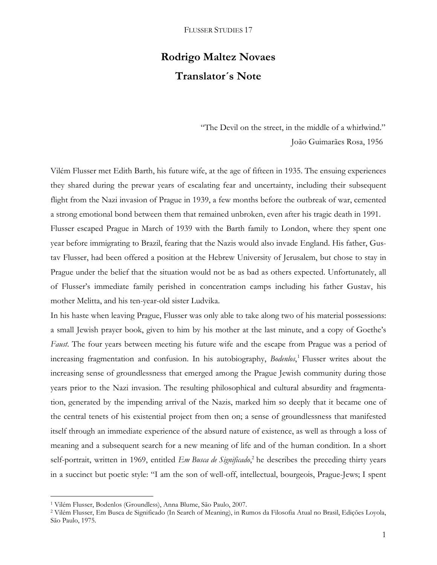# **Rodrigo Maltez Novaes Translator´s Note**

 "The Devil on the street, in the middle of a whirlwind." João Guimarães Rosa, 1956

Vilém Flusser met Edith Barth, his future wife, at the age of fifteen in 1935. The ensuing experiences they shared during the prewar years of escalating fear and uncertainty, including their subsequent flight from the Nazi invasion of Prague in 1939, a few months before the outbreak of war, cemented a strong emotional bond between them that remained unbroken, even after his tragic death in 1991. Flusser escaped Prague in March of 1939 with the Barth family to London, where they spent one year before immigrating to Brazil, fearing that the Nazis would also invade England. His father, Gustav Flusser, had been offered a position at the Hebrew University of Jerusalem, but chose to stay in Prague under the belief that the situation would not be as bad as others expected. Unfortunately, all of Flusser's immediate family perished in concentration camps including his father Gustav, his mother Melitta, and his ten-year-old sister Ludvika.

In his haste when leaving Prague, Flusser was only able to take along two of his material possessions: a small Jewish prayer book, given to him by his mother at the last minute, and a copy of Goethe's *Faust*. The four years between meeting his future wife and the escape from Prague was a period of increasing fragmentation and confusion. In his autobiography, *Bodenlos*, <sup>1</sup> Flusser writes about the increasing sense of groundlessness that emerged among the Prague Jewish community during those years prior to the Nazi invasion. The resulting philosophical and cultural absurdity and fragmentation, generated by the impending arrival of the Nazis, marked him so deeply that it became one of the central tenets of his existential project from then on; a sense of groundlessness that manifested itself through an immediate experience of the absurd nature of existence, as well as through a loss of meaning and a subsequent search for a new meaning of life and of the human condition. In a short self-portrait, written in 1969, entitled *Em Busca de Significado*, <sup>2</sup> he describes the preceding thirty years in a succinct but poetic style: "I am the son of well-off, intellectual, bourgeois, Prague-Jews; I spent

<sup>1</sup> Vilém Flusser, Bodenlos (Groundless), Anna Blume, São Paulo, 2007.

<sup>2</sup> Vilém Flusser, Em Busca de Significado (In Search of Meaning), in Rumos da Filosofia Atual no Brasil, Edições Loyola, São Paulo, 1975.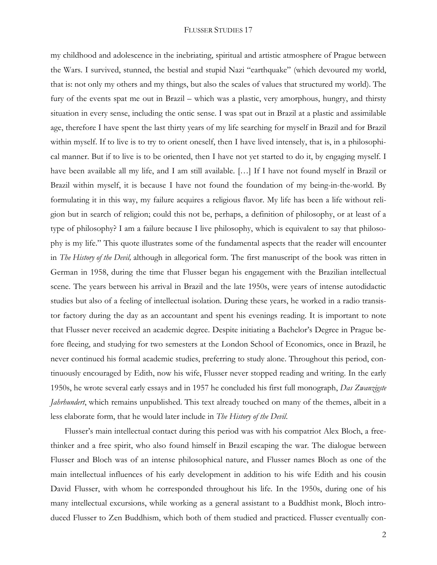my childhood and adolescence in the inebriating, spiritual and artistic atmosphere of Prague between the Wars. I survived, stunned, the bestial and stupid Nazi "earthquake" (which devoured my world, that is: not only my others and my things, but also the scales of values that structured my world). The fury of the events spat me out in Brazil – which was a plastic, very amorphous, hungry, and thirsty situation in every sense, including the ontic sense. I was spat out in Brazil at a plastic and assimilable age, therefore I have spent the last thirty years of my life searching for myself in Brazil and for Brazil within myself. If to live is to try to orient oneself, then I have lived intensely, that is, in a philosophical manner. But if to live is to be oriented, then I have not yet started to do it, by engaging myself. I have been available all my life, and I am still available. [...] If I have not found myself in Brazil or Brazil within myself, it is because I have not found the foundation of my being-in-the-world. By formulating it in this way, my failure acquires a religious flavor. My life has been a life without religion but in search of religion; could this not be, perhaps, a definition of philosophy, or at least of a type of philosophy? I am a failure because I live philosophy, which is equivalent to say that philosophy is my life." This quote illustrates some of the fundamental aspects that the reader will encounter in *The History of the Devil,* although in allegorical form. The first manuscript of the book was ritten in German in 1958, during the time that Flusser began his engagement with the Brazilian intellectual scene. The years between his arrival in Brazil and the late 1950s, were years of intense autodidactic studies but also of a feeling of intellectual isolation. During these years, he worked in a radio transistor factory during the day as an accountant and spent his evenings reading. It is important to note that Flusser never received an academic degree. Despite initiating a Bachelor's Degree in Prague before fleeing, and studying for two semesters at the London School of Economics, once in Brazil, he never continued his formal academic studies, preferring to study alone. Throughout this period, continuously encouraged by Edith, now his wife, Flusser never stopped reading and writing. In the early 1950s, he wrote several early essays and in 1957 he concluded his first full monograph, *Das Zwanzigste Jahrhundert*, which remains unpublished. This text already touched on many of the themes, albeit in a less elaborate form, that he would later include in *The History of the Devil*.

Flusser's main intellectual contact during this period was with his compatriot Alex Bloch, a freethinker and a free spirit, who also found himself in Brazil escaping the war. The dialogue between Flusser and Bloch was of an intense philosophical nature, and Flusser names Bloch as one of the main intellectual influences of his early development in addition to his wife Edith and his cousin David Flusser, with whom he corresponded throughout his life. In the 1950s, during one of his many intellectual excursions, while working as a general assistant to a Buddhist monk, Bloch introduced Flusser to Zen Buddhism, which both of them studied and practiced. Flusser eventually con-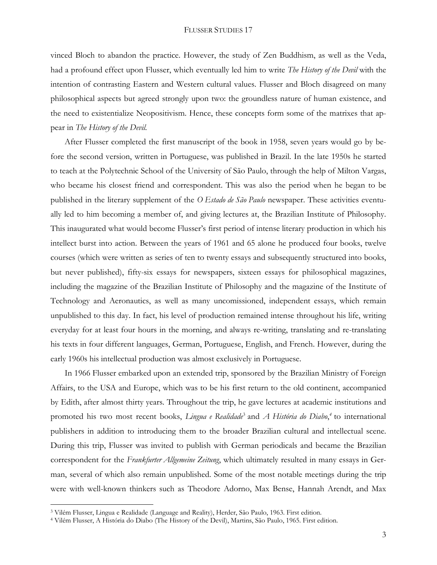vinced Bloch to abandon the practice. However, the study of Zen Buddhism, as well as the Veda, had a profound effect upon Flusser, which eventually led him to write *The History of the Devil* with the intention of contrasting Eastern and Western cultural values. Flusser and Bloch disagreed on many philosophical aspects but agreed strongly upon two: the groundless nature of human existence, and the need to existentialize Neopositivism. Hence, these concepts form some of the matrixes that appear in *The History of the Devil.*

After Flusser completed the first manuscript of the book in 1958, seven years would go by before the second version, written in Portuguese, was published in Brazil. In the late 1950s he started to teach at the Polytechnic School of the University of São Paulo, through the help of Milton Vargas, who became his closest friend and correspondent. This was also the period when he began to be published in the literary supplement of the *O Estado de São Paulo* newspaper. These activities eventually led to him becoming a member of, and giving lectures at, the Brazilian Institute of Philosophy. This inaugurated what would become Flusser's first period of intense literary production in which his intellect burst into action. Between the years of 1961 and 65 alone he produced four books, twelve courses (which were written as series of ten to twenty essays and subsequently structured into books, but never published), fifty-six essays for newspapers, sixteen essays for philosophical magazines, including the magazine of the Brazilian Institute of Philosophy and the magazine of the Institute of Technology and Aeronautics, as well as many uncomissioned, independent essays, which remain unpublished to this day. In fact, his level of production remained intense throughout his life, writing everyday for at least four hours in the morning, and always re-writing, translating and re-translating his texts in four different languages, German, Portuguese, English, and French. However, during the early 1960s his intellectual production was almost exclusively in Portuguese.

In 1966 Flusser embarked upon an extended trip, sponsored by the Brazilian Ministry of Foreign Affairs, to the USA and Europe, which was to be his first return to the old continent, accompanied by Edith, after almost thirty years. Throughout the trip, he gave lectures at academic institutions and promoted his two most recent books, *Lingua e Realidade*<sup>3</sup> and *A História do Diabo*, *4* to international publishers in addition to introducing them to the broader Brazilian cultural and intellectual scene. During this trip, Flusser was invited to publish with German periodicals and became the Brazilian correspondent for the *Frankfurter Allgemeine Zeitung*, which ultimately resulted in many essays in German, several of which also remain unpublished. Some of the most notable meetings during the trip were with well-known thinkers such as Theodore Adorno, Max Bense, Hannah Arendt, and Max

<sup>3</sup> Vilém Flusser, Lingua e Realidade (Language and Reality), Herder, São Paulo, 1963. First edition.

<sup>4</sup> Vilém Flusser, A História do Diabo (The History of the Devil), Martins, São Paulo, 1965. First edition.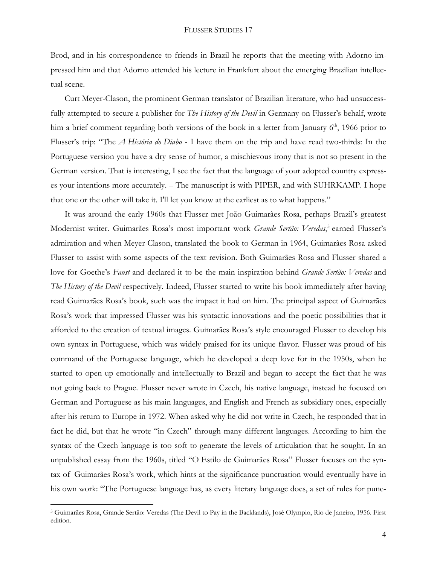Brod, and in his correspondence to friends in Brazil he reports that the meeting with Adorno impressed him and that Adorno attended his lecture in Frankfurt about the emerging Brazilian intellectual scene.

Curt Meyer-Clason, the prominent German translator of Brazilian literature, who had unsuccessfully attempted to secure a publisher for *The History of the Devil* in Germany on Flusser's behalf, wrote him a brief comment regarding both versions of the book in a letter from January 6<sup>th</sup>, 1966 prior to Flusser's trip: "The *A História do Diabo* - I have them on the trip and have read two-thirds: In the Portuguese version you have a dry sense of humor, a mischievous irony that is not so present in the German version. That is interesting, I see the fact that the language of your adopted country expresses your intentions more accurately. – The manuscript is with PIPER, and with SUHRKAMP. I hope that one or the other will take it. I'll let you know at the earliest as to what happens."

It was around the early 1960s that Flusser met João Guimarães Rosa, perhaps Brazil's greatest Modernist writer. Guimarães Rosa's most important work *Grande Sertão: Veredas*, 5 earned Flusser's admiration and when Meyer-Clason, translated the book to German in 1964, Guimarães Rosa asked Flusser to assist with some aspects of the text revision. Both Guimarães Rosa and Flusser shared a love for Goethe's *Faust* and declared it to be the main inspiration behind *Grande Sertão: Veredas* and *The History of the Devil* respectively*.* Indeed, Flusser started to write his book immediately after having read Guimarães Rosa's book, such was the impact it had on him. The principal aspect of Guimarães Rosa's work that impressed Flusser was his syntactic innovations and the poetic possibilities that it afforded to the creation of textual images. Guimarães Rosa's style encouraged Flusser to develop his own syntax in Portuguese, which was widely praised for its unique flavor. Flusser was proud of his command of the Portuguese language, which he developed a deep love for in the 1950s, when he started to open up emotionally and intellectually to Brazil and began to accept the fact that he was not going back to Prague. Flusser never wrote in Czech, his native language, instead he focused on German and Portuguese as his main languages, and English and French as subsidiary ones, especially after his return to Europe in 1972. When asked why he did not write in Czech, he responded that in fact he did, but that he wrote "in Czech" through many different languages. According to him the syntax of the Czech language is too soft to generate the levels of articulation that he sought. In an unpublished essay from the 1960s, titled "O Estilo de Guimarães Rosa" Flusser focuses on the syntax of Guimarães Rosa's work, which hints at the significance punctuation would eventually have in his own work: "The Portuguese language has, as every literary language does, a set of rules for punc-

<sup>5</sup> Guimarães Rosa, Grande Sertão: Veredas (The Devil to Pay in the Backlands), José Olympio, Rio de Janeiro, 1956. First edition.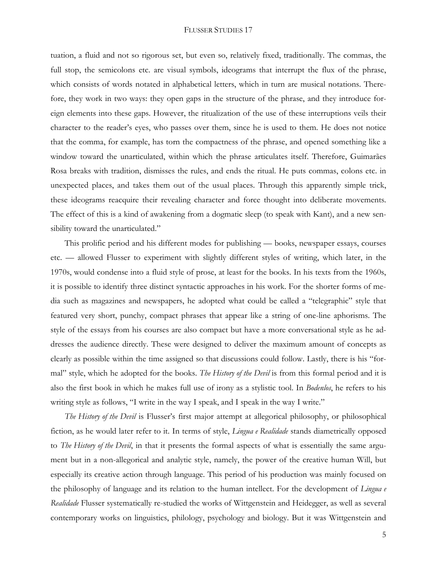tuation, a fluid and not so rigorous set, but even so, relatively fixed, traditionally. The commas, the full stop, the semicolons etc. are visual symbols, ideograms that interrupt the flux of the phrase, which consists of words notated in alphabetical letters, which in turn are musical notations. Therefore, they work in two ways: they open gaps in the structure of the phrase, and they introduce foreign elements into these gaps. However, the ritualization of the use of these interruptions veils their character to the reader's eyes, who passes over them, since he is used to them. He does not notice that the comma, for example, has torn the compactness of the phrase, and opened something like a window toward the unarticulated, within which the phrase articulates itself. Therefore, Guimarães Rosa breaks with tradition, dismisses the rules, and ends the ritual. He puts commas, colons etc. in unexpected places, and takes them out of the usual places. Through this apparently simple trick, these ideograms reacquire their revealing character and force thought into deliberate movements. The effect of this is a kind of awakening from a dogmatic sleep (to speak with Kant), and a new sensibility toward the unarticulated."

This prolific period and his different modes for publishing — books, newspaper essays, courses etc. — allowed Flusser to experiment with slightly different styles of writing, which later, in the 1970s, would condense into a fluid style of prose, at least for the books. In his texts from the 1960s, it is possible to identify three distinct syntactic approaches in his work. For the shorter forms of media such as magazines and newspapers, he adopted what could be called a "telegraphic" style that featured very short, punchy, compact phrases that appear like a string of one-line aphorisms. The style of the essays from his courses are also compact but have a more conversational style as he addresses the audience directly. These were designed to deliver the maximum amount of concepts as clearly as possible within the time assigned so that discussions could follow. Lastly, there is his "formal" style, which he adopted for the books. *The History of the Devil* is from this formal period and it is also the first book in which he makes full use of irony as a stylistic tool. In *Bodenlos*, he refers to his writing style as follows, "I write in the way I speak, and I speak in the way I write."

*The History of the Devil* is Flusser's first major attempt at allegorical philosophy, or philosophical fiction, as he would later refer to it. In terms of style, *Lingua e Realidade* stands diametrically opposed to *The History of the Devil*, in that it presents the formal aspects of what is essentially the same argument but in a non-allegorical and analytic style, namely, the power of the creative human Will, but especially its creative action through language. This period of his production was mainly focused on the philosophy of language and its relation to the human intellect. For the development of *Lingua e Realidade* Flusser systematically re-studied the works of Wittgenstein and Heidegger, as well as several contemporary works on linguistics, philology, psychology and biology. But it was Wittgenstein and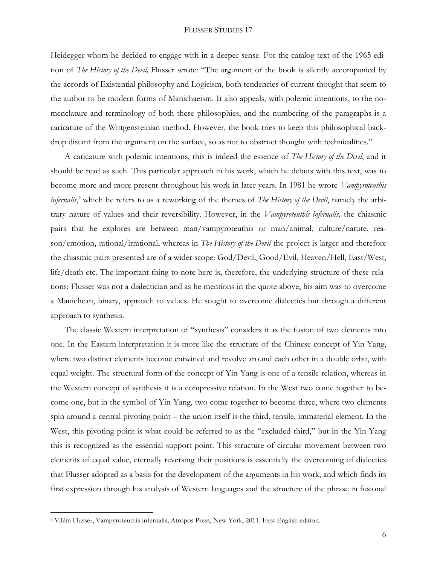Heidegger whom he decided to engage with in a deeper sense. For the catalog text of the 1965 edition of *The History of the Devil,* Flusser wrote: "The argument of the book is silently accompanied by the accords of Existential philosophy and Logicism, both tendencies of current thought that seem to the author to be modern forms of Manichaeism. It also appeals, with polemic intentions, to the nomenclature and terminology of both these philosophies, and the numbering of the paragraphs is a caricature of the Wittgensteinian method. However, the book tries to keep this philosophical backdrop distant from the argument on the surface, so as not to obstruct thought with technicalities."

A caricature with polemic intentions, this is indeed the essence of *The History of the Devil*, and it should be read as such. This particular approach in his work, which he debuts with this text, was to become more and more present throughout his work in later years. In 1981 he wrote *Vampyroteuthis infernalis*, *<sup>6</sup>* which he refers to as a reworking of the themes of *The History of the Devil*, namely the arbitrary nature of values and their reversibility. However, in the *Vampyroteuthis infernalis,* the chiasmic pairs that he explores are between man/vampyroteuthis or man/animal, culture/nature, reason/emotion, rational/irrational, whereas in *The History of the Devil* the project is larger and therefore the chiasmic pairs presented are of a wider scope: God/Devil, Good/Evil, Heaven/Hell, East/West, life/death etc. The important thing to note here is, therefore, the underlying structure of these relations: Flusser was not a dialectician and as he mentions in the quote above, his aim was to overcome a Manichean, binary, approach to values. He sought to overcome dialectics but through a different approach to synthesis.

The classic Western interpretation of "synthesis" considers it as the fusion of two elements into one. In the Eastern interpretation it is more like the structure of the Chinese concept of Yin-Yang, where two distinct elements become entwined and revolve around each other in a double orbit, with equal weight. The structural form of the concept of Yin-Yang is one of a tensile relation, whereas in the Western concept of synthesis it is a compressive relation. In the West two come together to become one, but in the symbol of Yin-Yang, two come together to become three, where two elements spin around a central pivoting point – the union itself is the third, tensile, immaterial element. In the West, this pivoting point is what could be referred to as the "excluded third," but in the Yin-Yang this is recognized as the essential support point. This structure of circular movement between two elements of equal value, eternally reversing their positions is essentially the overcoming of dialectics that Flusser adopted as a basis for the development of the arguments in his work, and which finds its first expression through his analysis of Western languages and the structure of the phrase in fusional

<sup>6</sup> Vilém Flusser, Vampyroteuthis infernalis, Atropos Press, New York, 2011. First English edition.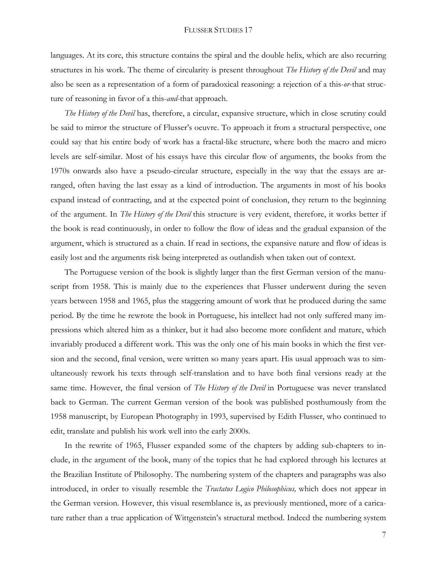languages. At its core, this structure contains the spiral and the double helix, which are also recurring structures in his work. The theme of circularity is present throughout *The History of the Devil* and may also be seen as a representation of a form of paradoxical reasoning: a rejection of a this-*or*-that structure of reasoning in favor of a this-*and*-that approach.

*The History of the Devil* has, therefore, a circular, expansive structure, which in close scrutiny could be said to mirror the structure of Flusser's oeuvre. To approach it from a structural perspective, one could say that his entire body of work has a fractal-like structure, where both the macro and micro levels are self-similar. Most of his essays have this circular flow of arguments, the books from the 1970s onwards also have a pseudo-circular structure, especially in the way that the essays are arranged, often having the last essay as a kind of introduction. The arguments in most of his books expand instead of contracting, and at the expected point of conclusion, they return to the beginning of the argument. In *The History of the Devil* this structure is very evident, therefore, it works better if the book is read continuously, in order to follow the flow of ideas and the gradual expansion of the argument, which is structured as a chain. If read in sections, the expansive nature and flow of ideas is easily lost and the arguments risk being interpreted as outlandish when taken out of context.

The Portuguese version of the book is slightly larger than the first German version of the manuscript from 1958. This is mainly due to the experiences that Flusser underwent during the seven years between 1958 and 1965, plus the staggering amount of work that he produced during the same period. By the time he rewrote the book in Portuguese, his intellect had not only suffered many impressions which altered him as a thinker, but it had also become more confident and mature, which invariably produced a different work. This was the only one of his main books in which the first version and the second, final version, were written so many years apart. His usual approach was to simultaneously rework his texts through self-translation and to have both final versions ready at the same time. However, the final version of *The History of the Devil* in Portuguese was never translated back to German. The current German version of the book was published posthumously from the 1958 manuscript, by European Photography in 1993, supervised by Edith Flusser, who continued to edit, translate and publish his work well into the early 2000s.

In the rewrite of 1965, Flusser expanded some of the chapters by adding sub-chapters to include, in the argument of the book, many of the topics that he had explored through his lectures at the Brazilian Institute of Philosophy. The numbering system of the chapters and paragraphs was also introduced, in order to visually resemble the *Tractatus Logico Philosophicus,* which does not appear in the German version. However, this visual resemblance is, as previously mentioned, more of a caricature rather than a true application of Wittgenstein's structural method. Indeed the numbering system